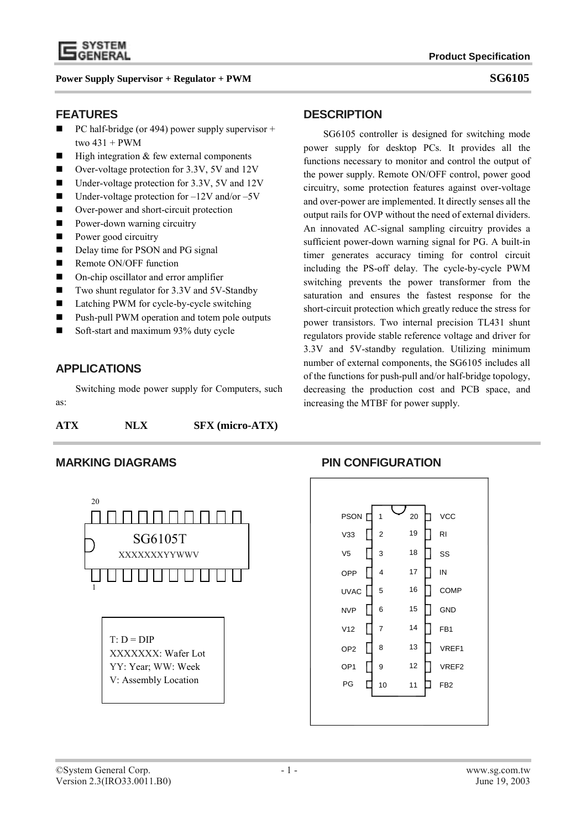

## **FEATURES**

- $\blacksquare$  PC half-bridge (or 494) power supply supervisor + two 431 + PWM
- $\blacksquare$  High integration & few external components
- Over-voltage protection for 3.3V, 5V and 12V
- Under-voltage protection for 3.3V, 5V and 12V
- Under-voltage protection for  $-12V$  and/or  $-5V$
- Over-power and short-circuit protection
- **Power-down warning circuitry**
- **Power good circuitry**
- Delay time for PSON and PG signal
- Remote ON/OFF function
- On-chip oscillator and error amplifier
- Two shunt regulator for 3.3V and 5V-Standby
- Latching PWM for cycle-by-cycle switching
- Push-pull PWM operation and totem pole outputs
- Soft-start and maximum 93% duty cycle

# **APPLICATIONS**

Switching mode power supply for Computers, such as:

| ATX<br>NLX | <b>SFX</b> (micro-ATX) |
|------------|------------------------|
|------------|------------------------|



### **DESCRIPTION**

SG6105 controller is designed for switching mode power supply for desktop PCs. It provides all the functions necessary to monitor and control the output of the power supply. Remote ON/OFF control, power good circuitry, some protection features against over-voltage and over-power are implemented. It directly senses all the output rails for OVP without the need of external dividers. An innovated AC-signal sampling circuitry provides a sufficient power-down warning signal for PG. A built-in timer generates accuracy timing for control circuit including the PS-off delay. The cycle-by-cycle PWM switching prevents the power transformer from the saturation and ensures the fastest response for the short-circuit protection which greatly reduce the stress for power transistors. Two internal precision TL431 shunt regulators provide stable reference voltage and driver for 3.3V and 5V-standby regulation. Utilizing minimum number of external components, the SG6105 includes all of the functions for push-pull and/or half-bridge topology, decreasing the production cost and PCB space, and increasing the MTBF for power supply.

## **MARKING DIAGRAMS PIN CONFIGURATION**

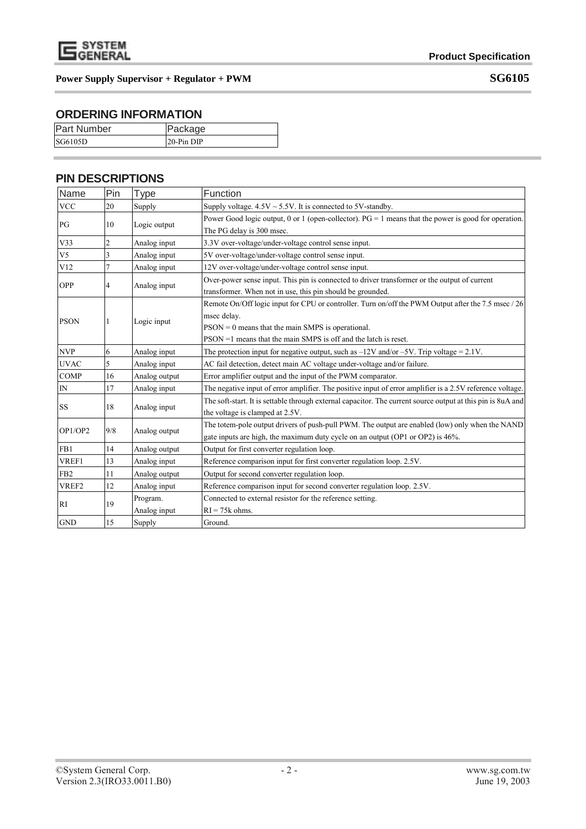

# **ORDERING INFORMATION**

| <b>Part Number</b> | Package    |
|--------------------|------------|
| SG6105D            | 20-Pin DIP |

# **PIN DESCRIPTIONS**

| Name            | Pin | <b>Type</b>   | Function                                                                                                    |
|-----------------|-----|---------------|-------------------------------------------------------------------------------------------------------------|
| <b>VCC</b>      | 20  | Supply        | Supply voltage. $4.5V \sim 5.5V$ . It is connected to 5V-standby.                                           |
| PG              | 10  | Logic output  | Power Good logic output, 0 or 1 (open-collector). $PG = 1$ means that the power is good for operation.      |
|                 |     |               | The PG delay is 300 msec.                                                                                   |
| V33             | 2   | Analog input  | 3.3V over-voltage/under-voltage control sense input.                                                        |
| V <sub>5</sub>  | 3   | Analog input  | 5V over-voltage/under-voltage control sense input.                                                          |
| V12             | 7   | Analog input  | 12V over-voltage/under-voltage control sense input.                                                         |
| <b>OPP</b>      | 4   | Analog input  | Over-power sense input. This pin is connected to driver transformer or the output of current                |
|                 |     |               | transformer. When not in use, this pin should be grounded.                                                  |
|                 |     |               | Remote On/Off logic input for CPU or controller. Turn on/off the PWM Output after the 7.5 msec / 26         |
| <b>PSON</b>     |     | Logic input   | msec delay.                                                                                                 |
|                 |     |               | $PSON = 0$ means that the main SMPS is operational.                                                         |
|                 |     |               | $PSON = 1$ means that the main SMPS is off and the latch is reset.                                          |
| <b>NVP</b>      | 6   | Analog input  | The protection input for negative output, such as $-12V$ and/or $-5V$ . Trip voltage = 2.1V.                |
| <b>UVAC</b>     | 5   | Analog input  | AC fail detection, detect main AC voltage under-voltage and/or failure.                                     |
| <b>COMP</b>     | 16  | Analog output | Error amplifier output and the input of the PWM comparator.                                                 |
| ${\rm IN}$      | 17  | Analog input  | The negative input of error amplifier. The positive input of error amplifier is a 2.5V reference voltage.   |
| <b>SS</b>       | 18  | Analog input  | The soft-start. It is settable through external capacitor. The current source output at this pin is 8uA and |
|                 |     |               | the voltage is clamped at 2.5V.                                                                             |
| OP1/OP2         | 9/8 | Analog output | The totem-pole output drivers of push-pull PWM. The output are enabled (low) only when the NAND             |
|                 |     |               | gate inputs are high, the maximum duty cycle on an output (OP1 or OP2) is 46%.                              |
| FB1             | 14  | Analog output | Output for first converter regulation loop.                                                                 |
| VREF1           | 13  | Analog input  | Reference comparison input for first converter regulation loop. 2.5V.                                       |
| FB <sub>2</sub> | 11  | Analog output | Output for second converter regulation loop.                                                                |
| VREF2           | 12  | Analog input  | Reference comparison input for second converter regulation loop. 2.5V.                                      |
|                 |     | Program.      | Connected to external resistor for the reference setting.                                                   |
| RI              | 19  | Analog input  | $RI = 75k$ ohms.                                                                                            |
| <b>GND</b>      | 15  | Supply        | Ground.                                                                                                     |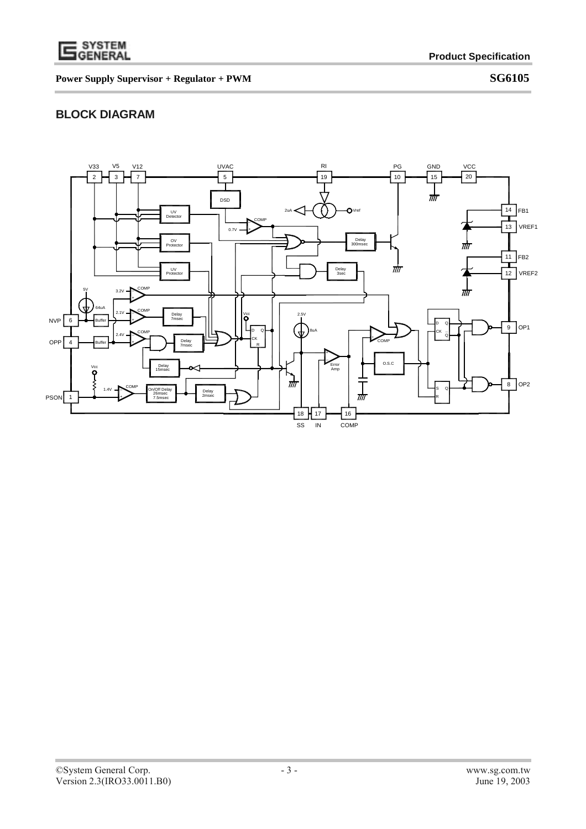

# **BLOCK DIAGRAM**

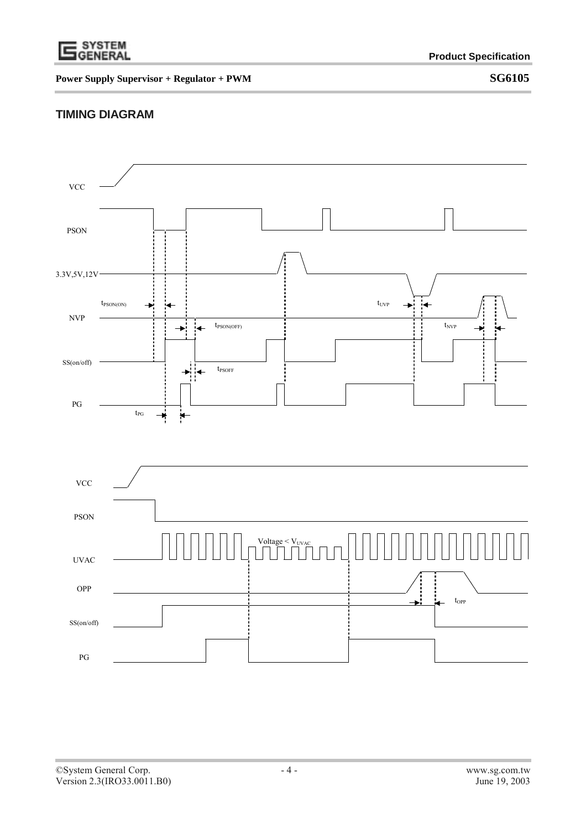

## **TIMING DIAGRAM**

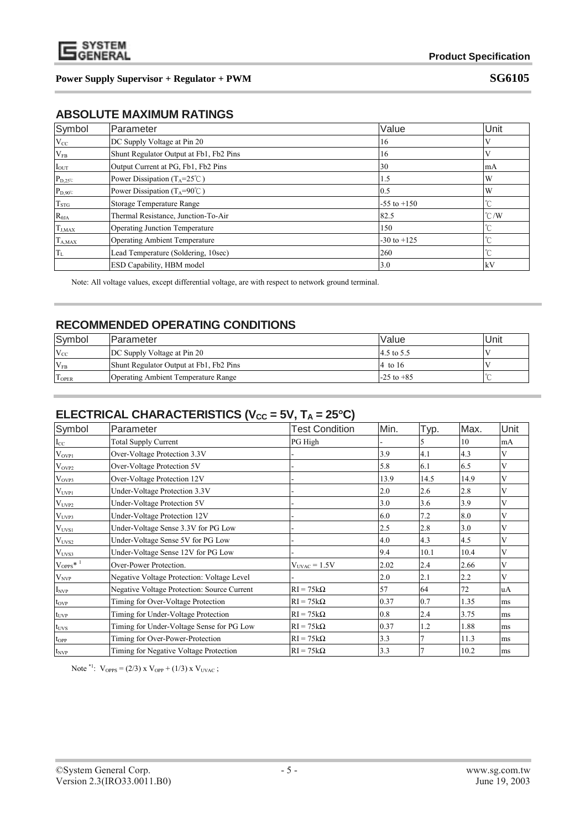

# **ABSOLUTE MAXIMUM RATINGS**

| Symbol                                   | Parameter                                       | Value           | Unit          |
|------------------------------------------|-------------------------------------------------|-----------------|---------------|
| $V_{CC}$                                 | DC Supply Voltage at Pin 20                     | 16              |               |
| $V_{FB}$                                 | Shunt Regulator Output at Fb1, Fb2 Pins         | 16              |               |
| $\ensuremath{\mathrm{I}_{\mathrm{OUT}}}$ | Output Current at PG, Fb1, Fb2 Pins             | 30              | mA            |
| $P_{D,25}$                               | Power Dissipation ( $T_A = 25^\circ \text{C}$ ) | 1.5             | W             |
| $P_{D,90}$                               | Power Dissipation ( $T_A = 90^\circ \text{C}$ ) | 0.5             | W             |
| $T_{STG}$                                | Storage Temperature Range                       | $-55$ to $+150$ | $\sim$        |
| $R_{\theta JA}$                          | Thermal Resistance, Junction-To-Air             | 82.5            | $\degree$ C/W |
| $T_{J,MAX}$                              | <b>Operating Junction Temperature</b>           | 150             | °C            |
| $T_{A,MAX}$                              | <b>Operating Ambient Temperature</b>            | $-30$ to $+125$ | $\sim$        |
| $T_{L}$                                  | Lead Temperature (Soldering, 10sec)             | 260             | $\sim$        |
|                                          | ESD Capability, HBM model                       | 3.0             | kV            |

Note: All voltage values, except differential voltage, are with respect to network ground terminal.

## **RECOMMENDED OPERATING CONDITIONS**

| Symbol       | Parameter                                  | <b>Value</b>   | Unit |
|--------------|--------------------------------------------|----------------|------|
| $V_{CC}$     | DC Supply Voltage at Pin 20                | 4.5 to 5.5     |      |
| $V_{FB}$     | Shunt Regulator Output at Fb1, Fb2 Pins    | 4 to 16        |      |
| <b>TOPER</b> | <b>Operating Ambient Temperature Range</b> | $-25$ to $+85$ |      |

# **ELECTRICAL CHARACTERISTICS (** $V_{CC}$  **= 5V, T<sub>A</sub> = 25°C)**

| Symbol                          | Parameter                                   | <b>Test Condition</b> | Min. | Typ. | Max. | Unit |
|---------------------------------|---------------------------------------------|-----------------------|------|------|------|------|
| $I_{CC}$                        | <b>Total Supply Current</b>                 | PG High               |      |      | 10   | mA   |
| $V_{OVP1}$                      | Over-Voltage Protection 3.3V                |                       | 3.9  | 4.1  | 4.3  | V    |
| $V_{OVP2}$                      | Over-Voltage Protection 5V                  |                       | 5.8  | 6.1  | 6.5  | V    |
| $V_{OVP3}$                      | Over-Voltage Protection 12V                 |                       | 13.9 | 14.5 | 14.9 | V    |
| $V_{UVP1}$                      | Under-Voltage Protection 3.3V               |                       | 2.0  | 2.6  | 2.8  | V    |
| $V_{UVP2}$                      | Under-Voltage Protection 5V                 |                       | 3.0  | 3.6  | 3.9  | V    |
| $V_{UVP3}$                      | Under-Voltage Protection 12V                |                       | 6.0  | 7.2  | 8.0  | v    |
| $V_{UVS1}$                      | Under-Voltage Sense 3.3V for PG Low         |                       | 2.5  | 2.8  | 3.0  | V    |
| $V_{UVS2}$                      | Under-Voltage Sense 5V for PG Low           |                       | 4.0  | 4.3  | 4.5  | V    |
| $\rm V_{UVS3}$                  | Under-Voltage Sense 12V for PG Low          |                       | 9.4  | 10.1 | 10.4 | V    |
| $\mathrm{V_{OPPS}}{}^{*\!-\!1}$ | Over-Power Protection.                      | $V_{UVAC} = 1.5V$     | 2.02 | 2.4  | 2.66 | V    |
| $\rm V_{\rm NVP}$               | Negative Voltage Protection: Voltage Level  |                       | 2.0  | 2.1  | 2.2  | v    |
| $I_{NVP}$                       | Negative Voltage Protection: Source Current | $RI = 75k\Omega$      | 57   | 64   | 72   | uA   |
| $t_{OVP}$                       | Timing for Over-Voltage Protection          | $RI = 75k\Omega$      | 0.37 | 0.7  | 1.35 | ms   |
| $t_{UVP}$                       | Timing for Under-Voltage Protection         | $RI = 75k\Omega$      | 0.8  | 2.4  | 3.75 | ms   |
| $t_{\rm UVS}$                   | Timing for Under-Voltage Sense for PG Low   | $RI = 75k\Omega$      | 0.37 | 1.2  | 1.88 | ms   |
| $t_{OPP}$                       | Timing for Over-Power-Protection            | $RI = 75k\Omega$      | 3.3  |      | 11.3 | ms   |
| $t_{NVP}$                       | Timing for Negative Voltage Protection      | $RI = 75k\Omega$      | 3.3  |      | 10.2 | ms   |

Note  ${}^{*1}$ :  $V_{OPPS} = (2/3) \times V_{OPP} + (1/3) \times V_{UVAC}$ ;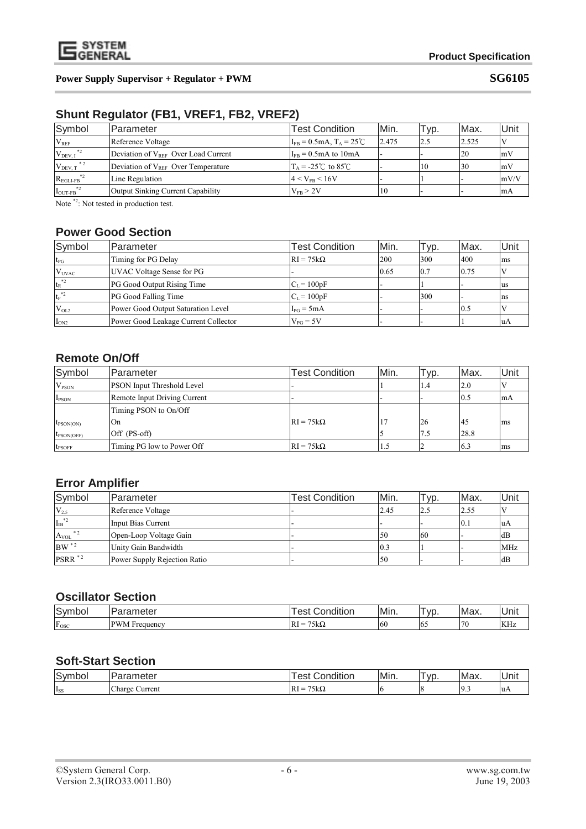

# **Shunt Regulator (FB1, VREF1, FB2, VREF2)**

| Symbol                        | <b>IParameter</b>                        | <b>Test Condition</b>                               | Min.  | Typ. | Max.  | Unit |
|-------------------------------|------------------------------------------|-----------------------------------------------------|-------|------|-------|------|
| $V_{REF}$                     | Reference Voltage                        | $I_{FB} = 0.5 \text{mA}, T_A = 25^{\circ} \text{C}$ | 2.475 | 2.5  | 2.525 |      |
| $V_{DEV, I}$ *2               | Deviation of $V_{RFF}$ Over Load Current | $I_{FB} = 0.5 \text{mA}$ to 10 mA                   |       |      | 20    | mV   |
| $V_{DEV, T}$ *2               | Deviation of $V_{REF}$ Over Temperature  | $T_A = -25^{\circ}$ to 85 °C                        |       | 10   | 30    | mV   |
| $*2$<br>$R_{\text{EGLI-FB}}$  | Line Regulation                          | $14 < V_{FB} < 16V$                                 |       |      |       | mV/V |
| $*2$<br>$I_{\text{OUT-FB}}^*$ | Output Sinking Current Capability        | $V_{FB} > 2V$                                       | 10    |      |       | lmA  |

Note  $*$ <sup>2</sup>: Not tested in production test.

## **Power Good Section**

| Symbol         | Parameter                            | <b>Test Condition</b> | Min. | Typ.             | Max. | Unit           |
|----------------|--------------------------------------|-----------------------|------|------------------|------|----------------|
| $t_{\rm PG}$   | Timing for PG Delay                  | $RI = 75k\Omega$      | 200  | 300              | 400  | ms             |
| $V_{UVAC}$     | UVAC Voltage Sense for PG            |                       | 0.65 | $\overline{0.7}$ | 0.75 |                |
| $t_R^{\ast 2}$ | PG Good Output Rising Time           | $C_L = 100pF$         |      |                  |      | lus            |
| $t_F^{\ast 2}$ | PG Good Falling Time                 | $C_L = 100pF$         |      | 300              |      | Ins            |
| $V_{OL2}$      | Power Good Output Saturation Level   | $I_{PG} = 5mA$        |      |                  | 0.5  |                |
| $I_{ON2}$      | Power Good Leakage Current Collector | $V_{PG} = 5V$         |      |                  |      | $\mathbf{u}$ A |

## **Remote On/Off**

| Symbol                       | lParameter                        | <b>Test Condition</b> | Min. | Typ. | Max. | Unit |
|------------------------------|-----------------------------------|-----------------------|------|------|------|------|
| $V_{PSON}$                   | <b>PSON</b> Input Threshold Level |                       |      | 1.4  | 2.0  |      |
| I <sub>PSON</sub>            | Remote Input Driving Current      |                       |      |      | 0.5  | mA   |
|                              | Timing PSON to On/Off             |                       |      |      |      |      |
| $t_{\text{PSON}(\text{ON})}$ | On                                | $RI = 75k\Omega$      |      | 26   | 45   | ms   |
| $t_{\text{PSON(OFF)}}$       | Off (PS-off)                      |                       |      | 7.5  | 28.8 |      |
| <b>t</b> <sub>PSOFF</sub>    | Timing PG low to Power Off        | $RI = 75k\Omega$      | د.   |      | 6.3  | ms   |

# **Error Amplifier**

| Symbol                              | <b>Parameter</b>             | <b>Test Condition</b> | Min. | $\sqrt{v}$ | Max. | Unit       |
|-------------------------------------|------------------------------|-----------------------|------|------------|------|------------|
| $V_{2.5}$                           | Reference Voltage            |                       | 2.45 | 2.5        | 2.55 |            |
| ${{\bf I}_{\rm IB}}^{*2}$           | Input Bias Current           |                       |      |            | 0.1  | -luA       |
| $\ast$ 2<br>$A_{VOL}$               | Open-Loop Voltage Gain       |                       | 50   | <b>60</b>  |      | dB         |
| $\mathrm{BW}$ $^\ast$ $^\mathrm{2}$ | Unity Gain Bandwidth         | -                     | 0.3  |            |      | <b>MHz</b> |
| PSRR <sup>*2</sup>                  | Power Supply Rejection Ratio |                       | 50   |            |      | dB         |

# **Oscillator Section**

| $\sim$<br><b>SVM</b><br>nbol | iere.                               | 1.1.1<br>-<br>Condition<br>es                          | Min.          | vr  | Max.          | . .<br><b>IUnit</b>  |
|------------------------------|-------------------------------------|--------------------------------------------------------|---------------|-----|---------------|----------------------|
| r<br>Fosc                    | <b>PWM</b><br>$\lrcorner$ Frequency | $- - -$<br>75kΩ<br>RI<br>$\overline{\phantom{a}}$<br>= | <sup>60</sup> | -10 | 70<br>$\cdot$ | <b>TZTT</b><br>INITZ |

#### **Soft-Start Section**

| $\overline{\phantom{0}}$<br>ivm<br>lbo'<br>∼<br>◡ | $m \wedge m$<br>⊶ו∟ו<br>ישוע | 1.711<br>ndition<br>റ<br>$\overline{\phantom{a}}$ | Min. | VD. | Max.        | Unit         |
|---------------------------------------------------|------------------------------|---------------------------------------------------|------|-----|-------------|--------------|
| <sup>1</sup> SS                                   | --<br>Charge<br>Current      | $- - -$<br>-IRi<br>–<br>A Iz<br>=<br>عدمر         | и.   |     | $\sim$<br>. | $u_{\Delta}$ |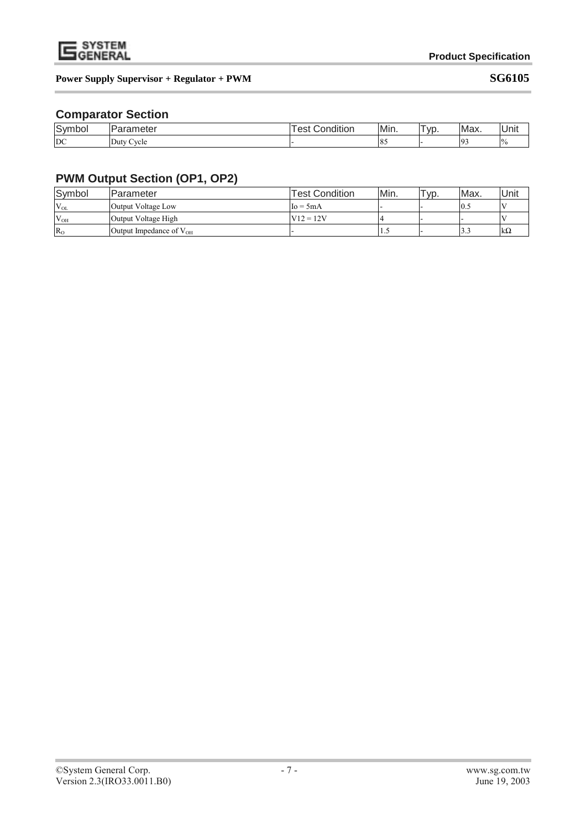

## **Comparator Section**

| Symbol | $-22$<br>$\sim$ $\sim$<br>etei | 1.1.1<br>∽<br>es:<br>idition<br>ΩF<br>$\overline{ }$ | Min. | <b>VC</b> | Max.         | <b>Unit</b>   |
|--------|--------------------------------|------------------------------------------------------|------|-----------|--------------|---------------|
| DC     | -<br>Cycle<br>Duty.            |                                                      | 10J  | . .       | $\mathbf{r}$ | $\frac{0}{6}$ |

# **PWM Output Section (OP1, OP2)**

| Symbol       | Parameter                    | <b>Test Condition</b> | lMin. | $\tau_{VD}$ | Max. | Unit |
|--------------|------------------------------|-----------------------|-------|-------------|------|------|
| $V_{OL}$     | Output Voltage Low           | $Io = 5mA$            |       |             | 10.5 |      |
| $V_{OH}$     | Output Voltage High          | $V12 = 12V$           |       |             |      |      |
| $R_{\Omega}$ | Output Impedance of $V_{OH}$ |                       | ن د   |             |      | lkΩ  |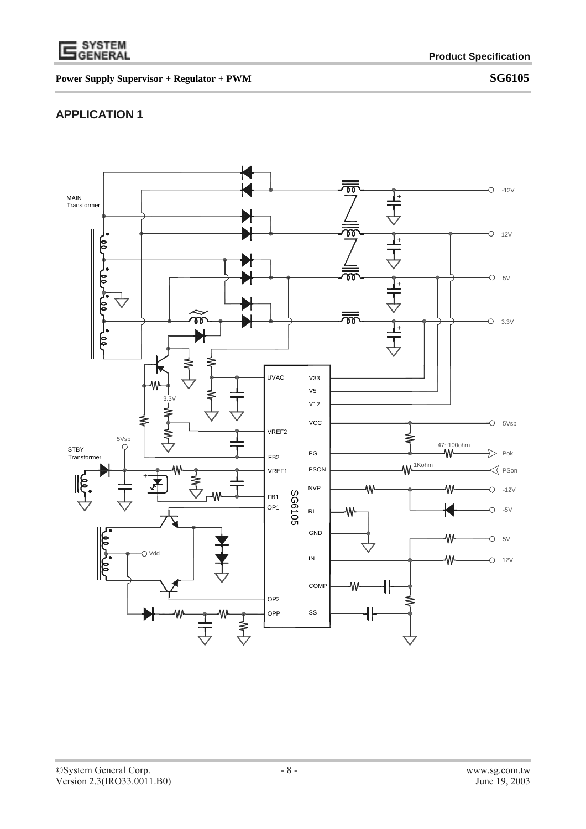

# **APPLICATION 1**

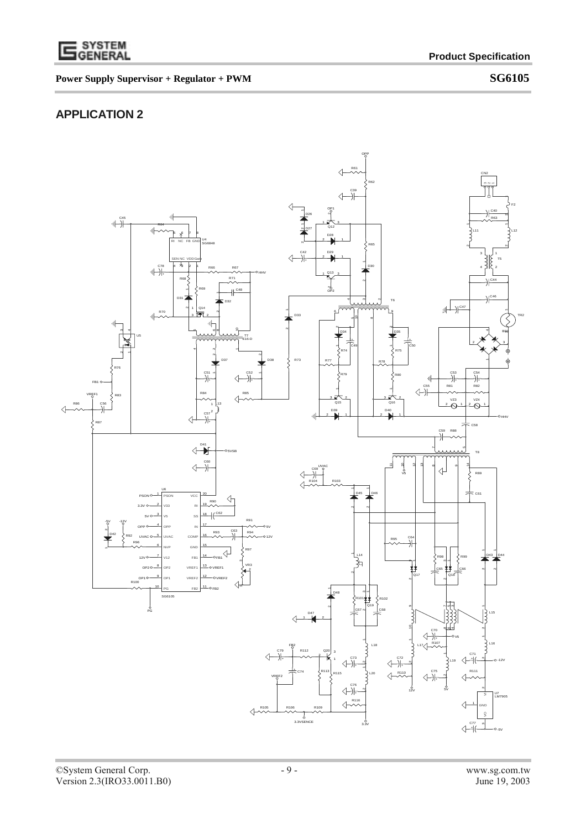

# **APPLICATION 2**

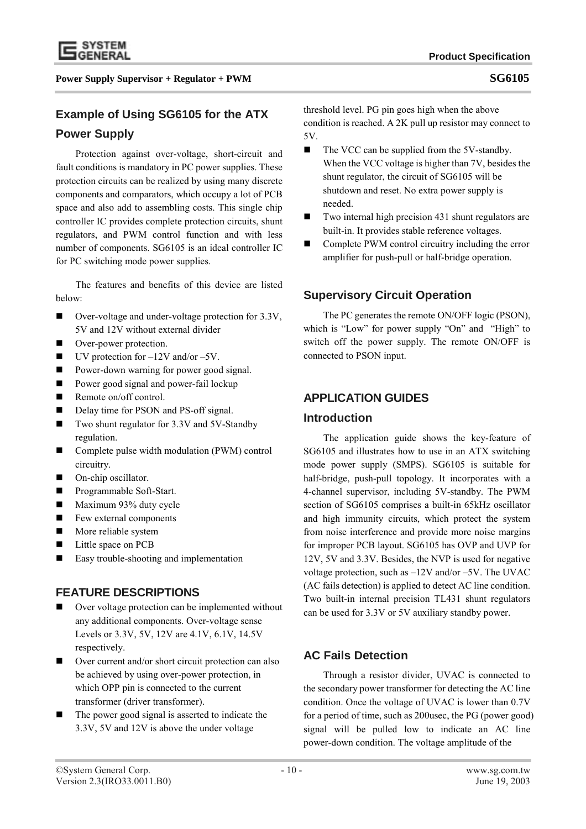

## **Example of Using SG6105 for the ATX**

## **Power Supply**

Protection against over-voltage, short-circuit and fault conditions is mandatory in PC power supplies. These protection circuits can be realized by using many discrete components and comparators, which occupy a lot of PCB space and also add to assembling costs. This single chip controller IC provides complete protection circuits, shunt regulators, and PWM control function and with less number of components. SG6105 is an ideal controller IC for PC switching mode power supplies.

The features and benefits of this device are listed below:

- Over-voltage and under-voltage protection for 3.3V, 5V and 12V without external divider
- Over-power protection.
- $\blacksquare$  UV protection for  $-12V$  and/or  $-5V$ .
- Power-down warning for power good signal.
- **Power good signal and power-fail lockup**
- Remote on/off control.
- Delay time for PSON and PS-off signal.
- Two shunt regulator for 3.3V and 5V-Standby regulation.
- Complete pulse width modulation (PWM) control circuitry.
- On-chip oscillator.
- **Programmable Soft-Start.**
- $\blacksquare$  Maximum 93% duty cycle
- **Few external components**
- **More reliable system**
- Little space on PCB
- Easy trouble-shooting and implementation

## **FEATURE DESCRIPTIONS**

- Over voltage protection can be implemented without any additional components. Over-voltage sense Levels or 3.3V, 5V, 12V are 4.1V, 6.1V, 14.5V respectively.
- Over current and/or short circuit protection can also be achieved by using over-power protection, in which OPP pin is connected to the current transformer (driver transformer).
- The power good signal is asserted to indicate the 3.3V, 5V and 12V is above the under voltage

threshold level. PG pin goes high when the above condition is reached. A 2K pull up resistor may connect to 5V.

- The VCC can be supplied from the 5V-standby. When the VCC voltage is higher than 7V, besides the shunt regulator, the circuit of SG6105 will be shutdown and reset. No extra power supply is needed.
- Two internal high precision 431 shunt regulators are built-in. It provides stable reference voltages.
- Complete PWM control circuitry including the error amplifier for push-pull or half-bridge operation.

# **Supervisory Circuit Operation**

The PC generates the remote ON/OFF logic (PSON), which is "Low" for power supply "On" and "High" to switch off the power supply. The remote ON/OFF is connected to PSON input.

## **APPLICATION GUIDES**

### **Introduction**

The application guide shows the key-feature of SG6105 and illustrates how to use in an ATX switching mode power supply (SMPS). SG6105 is suitable for half-bridge, push-pull topology. It incorporates with a 4-channel supervisor, including 5V-standby. The PWM section of SG6105 comprises a built-in 65kHz oscillator and high immunity circuits, which protect the system from noise interference and provide more noise margins for improper PCB layout. SG6105 has OVP and UVP for 12V, 5V and 3.3V. Besides, the NVP is used for negative voltage protection, such as –12V and/or –5V. The UVAC (AC fails detection) is applied to detect AC line condition. Two built-in internal precision TL431 shunt regulators can be used for 3.3V or 5V auxiliary standby power.

# **AC Fails Detection**

Through a resistor divider, UVAC is connected to the secondary power transformer for detecting the AC line condition. Once the voltage of UVAC is lower than 0.7V for a period of time, such as 200usec, the PG (power good) signal will be pulled low to indicate an AC line power-down condition. The voltage amplitude of the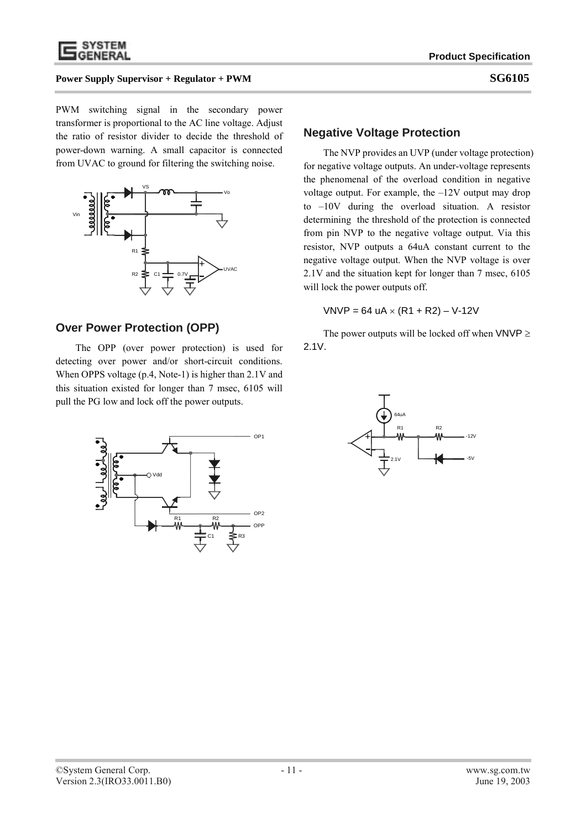

PWM switching signal in the secondary power transformer is proportional to the AC line voltage. Adjust the ratio of resistor divider to decide the threshold of power-down warning. A small capacitor is connected from UVAC to ground for filtering the switching noise.



### **Over Power Protection (OPP)**

The OPP (over power protection) is used for detecting over power and/or short-circuit conditions. When OPPS voltage (p.4, Note-1) is higher than 2.1V and this situation existed for longer than 7 msec, 6105 will pull the PG low and lock off the power outputs.



#### **Negative Voltage Protection**

The NVP provides an UVP (under voltage protection) for negative voltage outputs. An under-voltage represents the phenomenal of the overload condition in negative voltage output. For example, the –12V output may drop to –10V during the overload situation. A resistor determining the threshold of the protection is connected from pin NVP to the negative voltage output. Via this resistor, NVP outputs a 64uA constant current to the negative voltage output. When the NVP voltage is over 2.1V and the situation kept for longer than 7 msec, 6105 will lock the power outputs off.

 $VNVP = 64$  uA  $\times$  (R1 + R2) – V-12V

The power outputs will be locked off when  $VNVP \geq$ 2.1V.

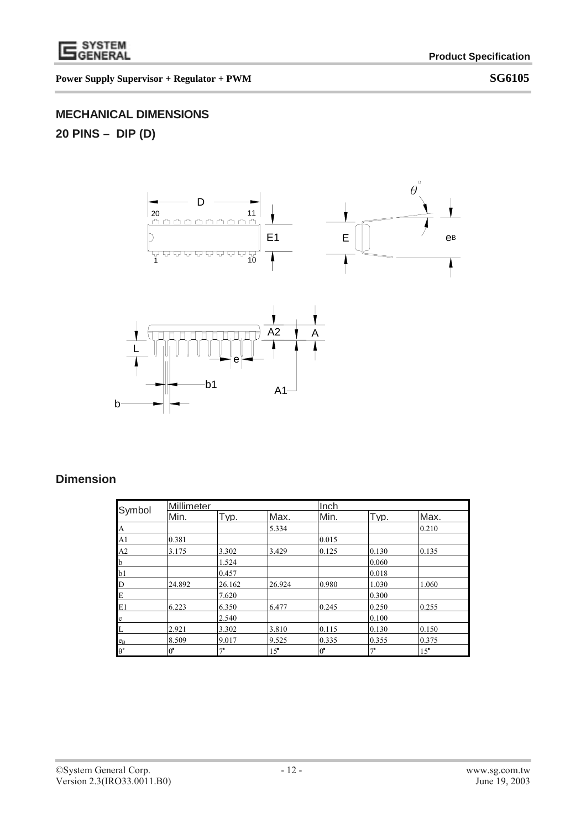

# **MECHANICAL DIMENSIONS**

**20 PINS – DIP (D)** 



 $A1$ 

b1

# **Dimension**

b

| Symbol             | Millimeter  |             |                 | Inch        |             |       |  |
|--------------------|-------------|-------------|-----------------|-------------|-------------|-------|--|
|                    | Min.        | Typ.        | Max.            | Min.        | Typ.        | Max.  |  |
| A                  |             |             | 5.334           |             |             | 0.210 |  |
| A1                 | 0.381       |             |                 | 0.015       |             |       |  |
| A2                 | 3.175       | 3.302       | 3.429           | 0.125       | 0.130       | 0.135 |  |
| b                  |             | 1.524       |                 |             | 0.060       |       |  |
| b1                 |             | 0.457       |                 |             | 0.018       |       |  |
| D                  | 24.892      | 26.162      | 26.924          | 0.980       | 1.030       | 1.060 |  |
| E                  |             | 7.620       |                 |             | 0.300       |       |  |
| E1                 | 6.223       | 6.350       | 6.477           | 0.245       | 0.250       | 0.255 |  |
| e                  |             | 2.540       |                 |             | 0.100       |       |  |
| L                  | 2.921       | 3.302       | 3.810           | 0.115       | 0.130       | 0.150 |  |
| $e_B$              | 8.509       | 9.017       | 9.525           | 0.335       | 0.355       | 0.375 |  |
| $\theta^{\bullet}$ | $0^{\circ}$ | $7^{\circ}$ | 15 <sup>°</sup> | $0^{\circ}$ | $7^{\circ}$ | 15    |  |